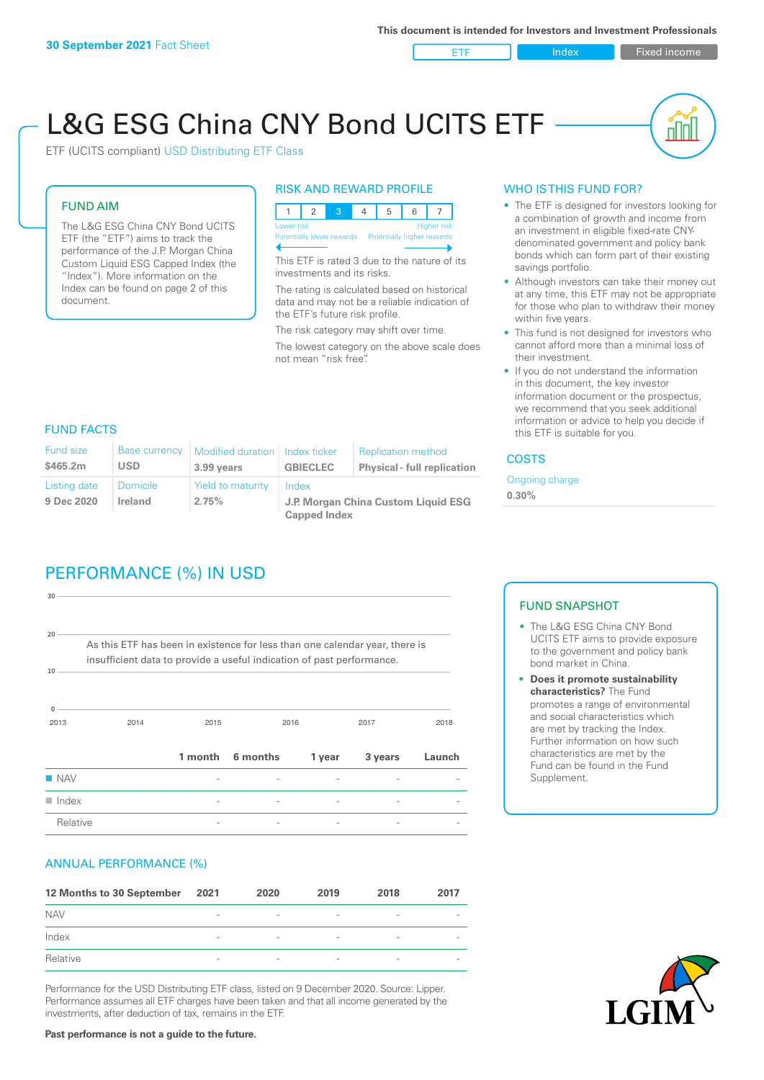ETF Index Fixed income

# L&G ESG China CNY Bond UCITS ETF

ETF (UCITS compliant) USD Distributing ETF Class

#### FUND AIM

The L&G ESG China CNY Bond UCITS ETF (the "ETF") aims to track the performance of the J.P. Morgan China Custom Liquid ESG Capped Index (the "Index"). More information on the Index can be found on page 2 of this document.

#### RISK AND REWARD PROFILE



This ETF is rated 3 due to the nature of its investments and its risks.

The rating is calculated based on historical data and may not be a reliable indication of the ETF's future risk profile.

The risk category may shift over time. The lowest category on the above scale does not mean "risk free".

#### WHO IS THIS FUND FOR?

- The ETF is designed for investors looking for a combination of growth and income from an investment in eligible fixed-rate CNYdenominated government and policy bank bonds which can form part of their existing savings portfolio.
- Although investors can take their money out at any time, this ETF may not be appropriate for those who plan to withdraw their money within five years.
- This fund is not designed for investors who cannot afford more than a minimal loss of their investment.
- If you do not understand the information in this document, the key investor information document or the prospectus, we recommend that you seek additional information or advice to help you decide if this ETF is suitable for you.

#### FUND FACTS

| <b>Fund size</b><br>\$465.2m | <b>Base currency</b><br><b>USD</b> | Modified duration   Index ticker<br>3.99 years | <b>GBIECLEC</b>                              | <b>Replication method</b><br><b>Physical - full replication</b> | <b>COSTS</b> |
|------------------------------|------------------------------------|------------------------------------------------|----------------------------------------------|-----------------------------------------------------------------|--------------|
| Listing date<br>9 Dec 2020   | Domicile<br><b>Ireland</b>         | Yield to maturity<br>2.75%                     | Index<br>J.P. Morgan China Custom Liquid ESG | Ongoing charge<br>$0.30\%$                                      |              |
|                              |                                    |                                                | <b>Capped Index</b>                          |                                                                 |              |

# PERFORMANCE (%) IN USD

2013 2014 2015 2016 2017 2018 **0 10 20 30** As this ETF has been in existence for less than one calendar year, there is insufficient data to provide a useful indication of past performance. **1 month 6 months 1 year 3 years Launch** n NAV - - - - -  $\blacksquare$  Index  $\blacksquare$ Relative **Relation Community Community**  $\frac{1}{2}$  **Fig. 2** -  $\frac{1}{2}$  -  $\frac{1}{2}$  -  $\frac{1}{2}$  -  $\frac{1}{2}$  -  $\frac{1}{2}$  -  $\frac{1}{2}$  -  $\frac{1}{2}$  -  $\frac{1}{2}$  -  $\frac{1}{2}$  -  $\frac{1}{2}$  -  $\frac{1}{2}$  -  $\frac{1}{2}$  -  $\frac{1}{2}$  -  $\frac{1$ 

#### ANNUAL PERFORMANCE (%)

| 12 Months to 30 September 2021 |                          | 2020                     | 2019                     | 2018                     | 2017                     |
|--------------------------------|--------------------------|--------------------------|--------------------------|--------------------------|--------------------------|
| <b>NAV</b>                     | $\qquad \qquad$          | $\overline{\phantom{a}}$ | $\overline{\phantom{a}}$ | $\overline{\phantom{a}}$ |                          |
| Index                          | $\overline{\phantom{a}}$ | $\overline{\phantom{0}}$ | $\qquad \qquad$          | $\overline{\phantom{a}}$ |                          |
| Relative                       | $\overline{\phantom{a}}$ | $\overline{\phantom{a}}$ | $\sim$                   | $\sim$                   | $\overline{\phantom{a}}$ |

Performance for the USD Distributing ETF class, listed on 9 December 2020. Source: Lipper. Performance assumes all ETF charges have been taken and that all income generated by the investments, after deduction of tax, remains in the ETF.

#### FUND SNAPSHOT

- The L&G ESG China CNY Bond UCITS ETF aims to provide exposure to the government and policy bank bond market in China.
- **• Does it promote sustainability characteristics?** The Fund promotes a range of environmental and social characteristics which are met by tracking the Index. Further information on how such characteristics are met by the Fund can be found in the Fund Supplement.



**Past performance is not a guide to the future.**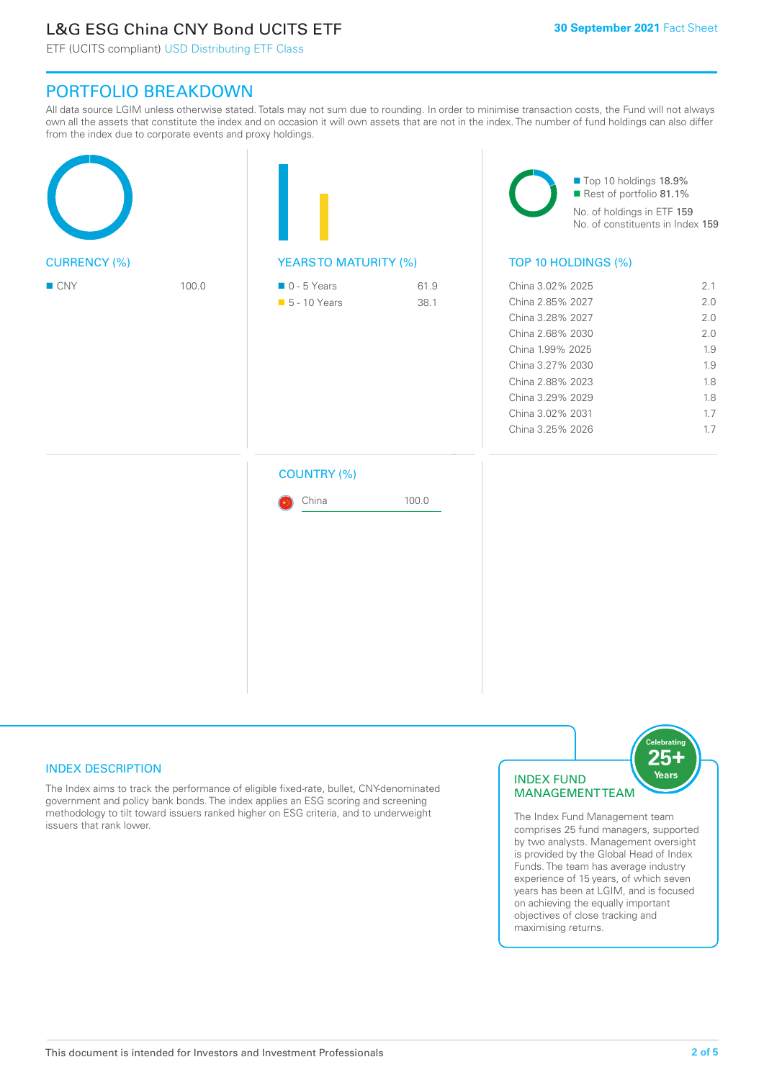# L&G ESG China CNY Bond UCITS ETF

ETF (UCITS compliant) USD Distributing ETF Class

## PORTFOLIO BREAKDOWN

All data source LGIM unless otherwise stated. Totals may not sum due to rounding. In order to minimise transaction costs, the Fund will not always own all the assets that constitute the index and on occasion it will own assets that are not in the index. The number of fund holdings can also differ from the index due to corporate events and proxy holdings.

| <b>CURRENCY (%)</b> |       |                                              |              | Top 10 holdings 18.9%<br>Rest of portfolio 81.1%<br>No. of holdings in ETF 159<br>No. of constituents in Index 159                                                                                   |                                                                    |  |
|---------------------|-------|----------------------------------------------|--------------|------------------------------------------------------------------------------------------------------------------------------------------------------------------------------------------------------|--------------------------------------------------------------------|--|
|                     |       | <b>YEARSTO MATURITY (%)</b>                  |              | TOP 10 HOLDINGS (%)                                                                                                                                                                                  |                                                                    |  |
| $\blacksquare$ CNY  | 100.0 | $\blacksquare$ 0 - 5 Years<br>• 5 - 10 Years | 61.9<br>38.1 | China 3.02% 2025<br>China 2.85% 2027<br>China 3.28% 2027<br>China 2.68% 2030<br>China 1.99% 2025<br>China 3.27% 2030<br>China 2.88% 2023<br>China 3.29% 2029<br>China 3.02% 2031<br>China 3.25% 2026 | 2.1<br>2.0<br>2.0<br>2.0<br>1.9<br>1.9<br>1.8<br>1.8<br>1.7<br>1.7 |  |
|                     |       | <b>COUNTRY (%)</b><br>China                  | 100.0        |                                                                                                                                                                                                      |                                                                    |  |
|                     |       |                                              |              |                                                                                                                                                                                                      |                                                                    |  |

#### INDEX DESCRIPTION

The Index aims to track the performance of eligible fixed-rate, bullet, CNY-denominated government and policy bank bonds. The index applies an ESG scoring and screening methodology to tilt toward issuers ranked higher on ESG criteria, and to underweight issuers that rank lower.

#### INDEX FUND MANAGEMENT TEAM



The Index Fund Management team comprises 25 fund managers, supported by two analysts. Management oversight is provided by the Global Head of Index Funds. The team has average industry experience of 15 years, of which seven years has been at LGIM, and is focused on achieving the equally important objectives of close tracking and maximising returns.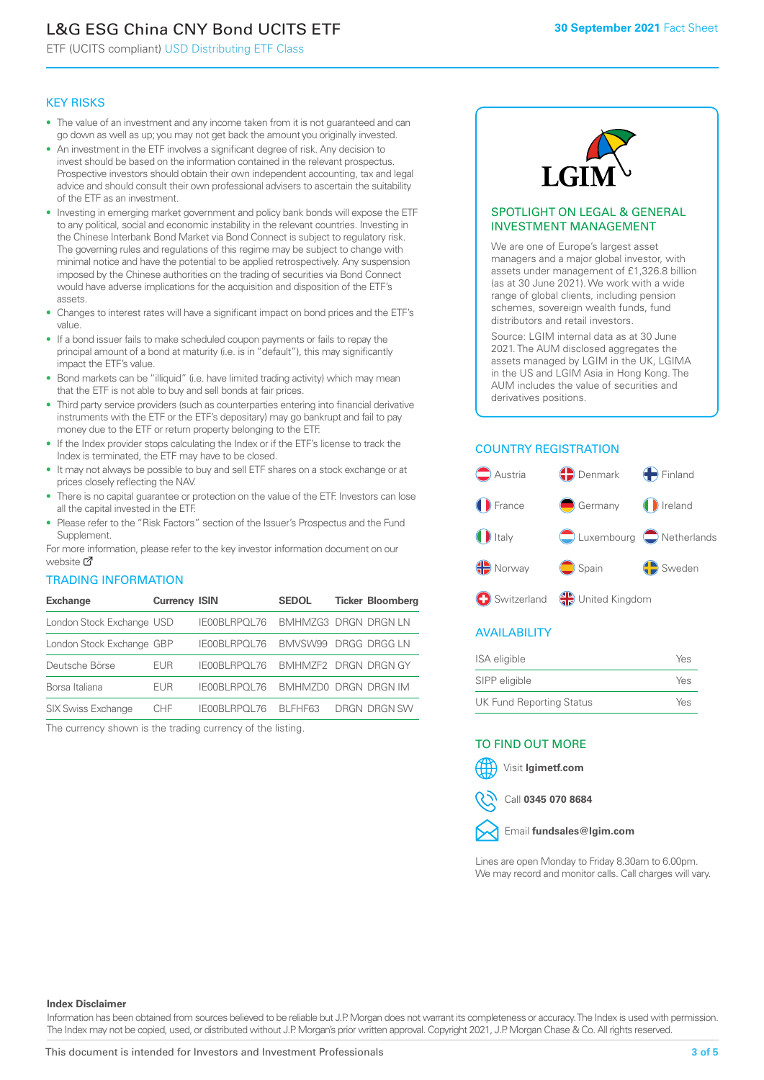# L&G ESG China CNY Bond UCITS ETF

ETF (UCITS compliant) USD Distributing ETF Class

#### KEY RISKS

- The value of an investment and any income taken from it is not guaranteed and can go down as well as up; you may not get back the amount you originally invested.
- An investment in the ETF involves a significant degree of risk. Any decision to invest should be based on the information contained in the relevant prospectus. Prospective investors should obtain their own independent accounting, tax and legal advice and should consult their own professional advisers to ascertain the suitability of the ETF as an investment.
- Investing in emerging market government and policy bank bonds will expose the ETF to any political, social and economic instability in the relevant countries. Investing in the Chinese Interbank Bond Market via Bond Connect is subject to regulatory risk. The governing rules and regulations of this regime may be subject to change with minimal notice and have the potential to be applied retrospectively. Any suspension imposed by the Chinese authorities on the trading of securities via Bond Connect would have adverse implications for the acquisition and disposition of the ETF's assets.
- Changes to interest rates will have a significant impact on bond prices and the ETF's value.
- If a bond issuer fails to make scheduled coupon payments or fails to repay the principal amount of a bond at maturity (i.e. is in "default"), this may significantly impact the ETF's value.
- Bond markets can be "illiquid" (i.e. have limited trading activity) which may mean that the ETF is not able to buy and sell bonds at fair prices.
- Third party service providers (such as counterparties entering into financial derivative instruments with the ETF or the ETF's depositary) may go bankrupt and fail to pay money due to the ETF or return property belonging to the ETF.
- If the Index provider stops calculating the Index or if the ETF's license to track the Index is terminated, the ETF may have to be closed.
- It may not always be possible to buy and sell ETF shares on a stock exchange or at prices closely reflecting the NAV.
- There is no capital guarantee or protection on the value of the ETF. Investors can lose all the capital invested in the ETF.
- Please refer to the "Risk Factors" section of the Issuer's Prospectus and the Fund Supplement.

For mo[re inf](https://www.lgimetf.com/)ormation, please refer to the key investor information document on our website M

#### TRADING INFORMATION

| <b>Exchange</b>           | <b>Currency ISIN</b> |                       | <b>SEDOL</b>                | <b>Ticker Bloomberg</b> |
|---------------------------|----------------------|-----------------------|-----------------------------|-------------------------|
| London Stock Exchange USD |                      | IE00BLRPOL76          | <b>BMHMZG3 DRGN DRGN LN</b> |                         |
| London Stock Exchange GBP |                      | IE00BLRPOL76          | BMVSW99 DRGG DRGG LN        |                         |
| Deutsche Börse            | EUR                  | <b>IFOOBL RPOL 76</b> | BMHMZF2 DRGN DRGN GY        |                         |
| Borsa Italiana            | <b>EUR</b>           | IE00BLRPOL76          | BMHMZD0 DRGN DRGN IM        |                         |
| <b>SIX Swiss Exchange</b> | CHF.                 | IE00BLRPOL76          | BI FHF63                    | DRGN DRGN SW            |

The currency shown is the trading currency of the listing.



#### SPOTLIGHT ON LEGAL & GENERAL INVESTMENT MANAGEMENT

We are one of Europe's largest asset managers and a major global investor, with assets under management of £1,326.8 billion (as at 30 June 2021). We work with a wide range of global clients, including pension schemes, sovereign wealth funds, fund distributors and retail investors.

Source: LGIM internal data as at 30 June 2021. The AUM disclosed aggregates the assets managed by LGIM in the UK, LGIMA in the US and LGIM Asia in Hong Kong. The AUM includes the value of securities and derivatives positions.

### COUNTRY REGISTRATION



#### AVAILABILITY

| <b>ISA</b> eligible             | Yes |
|---------------------------------|-----|
| SIPP eligible                   | Yes |
| <b>UK Fund Reporting Status</b> | Yes |

#### TO FIND OUT MORE

Visit **lgimetf.com**



Call **0345 070 8684**



Lines are open Monday to Friday 8.30am to 6.00pm. We may record and monitor calls. Call charges will vary.

#### **Index Disclaimer**

Information has been obtained from sources believed to be reliable but J.P. Morgan does not warrant its completeness or accuracy. The Index is used with permission. The Index may not be copied, used, or distributed without J.P. Morgan's prior written approval. Copyright 2021, J.P. Morgan Chase & Co. All rights reserved.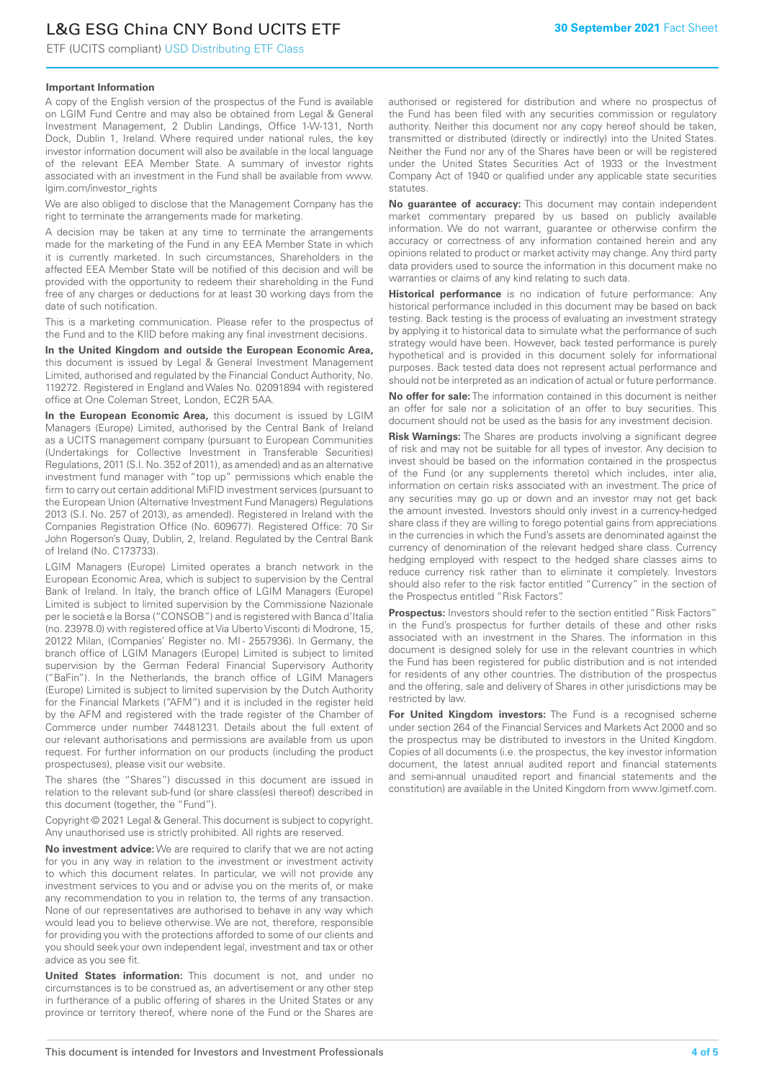# L&G ESG China CNY Bond UCITS ETF

ETF (UCITS compliant) USD Distributing ETF Class

#### **Important Information**

A copy of the English version of the prospectus of the Fund is available on LGIM Fund Centre and may also be obtained from Legal & General Investment Management, 2 Dublin Landings, Office 1-W-131, North Dock, Dublin 1, Ireland. Where required under national rules, the key investor information document will also be available in the local language of the relevant EEA Member State. A summary of investor rights associated with an investment in the Fund shall be available from www. lgim.com/investor\_rights

We are also obliged to disclose that the Management Company has the right to terminate the arrangements made for marketing.

A decision may be taken at any time to terminate the arrangements made for the marketing of the Fund in any EEA Member State in which it is currently marketed. In such circumstances, Shareholders in the affected EEA Member State will be notified of this decision and will be provided with the opportunity to redeem their shareholding in the Fund free of any charges or deductions for at least 30 working days from the date of such notification.

This is a marketing communication. Please refer to the prospectus of the Fund and to the KIID before making any final investment decisions.

**In the United Kingdom and outside the European Economic Area,** this document is issued by Legal & General Investment Management Limited, authorised and regulated by the Financial Conduct Authority, No. 119272. Registered in England and Wales No. 02091894 with registered office at One Coleman Street, London, EC2R 5AA.

**In the European Economic Area,** this document is issued by LGIM Managers (Europe) Limited, authorised by the Central Bank of Ireland as a UCITS management company (pursuant to European Communities (Undertakings for Collective Investment in Transferable Securities) Regulations, 2011 (S.I. No. 352 of 2011), as amended) and as an alternative investment fund manager with "top up" permissions which enable the firm to carry out certain additional MiFID investment services (pursuant to the European Union (Alternative Investment Fund Managers) Regulations 2013 (S.I. No. 257 of 2013), as amended). Registered in Ireland with the Companies Registration Office (No. 609677). Registered Office: 70 Sir John Rogerson's Quay, Dublin, 2, Ireland. Regulated by the Central Bank of Ireland (No. C173733).

LGIM Managers (Europe) Limited operates a branch network in the European Economic Area, which is subject to supervision by the Central Bank of Ireland. In Italy, the branch office of LGIM Managers (Europe) Limited is subject to limited supervision by the Commissione Nazionale per le società e la Borsa ("CONSOB") and is registered with Banca d'Italia (no. 23978.0) with registered office at Via Uberto Visconti di Modrone, 15, 20122 Milan, (Companies' Register no. MI - 2557936). In Germany, the branch office of LGIM Managers (Europe) Limited is subject to limited supervision by the German Federal Financial Supervisory Authority ("BaFin"). In the Netherlands, the branch office of LGIM Managers (Europe) Limited is subject to limited supervision by the Dutch Authority for the Financial Markets ("AFM") and it is included in the register held by the AFM and registered with the trade register of the Chamber of Commerce under number 74481231. Details about the full extent of our relevant authorisations and permissions are available from us upon request. For further information on our products (including the product prospectuses), please visit our website.

The shares (the "Shares") discussed in this document are issued in relation to the relevant sub-fund (or share class(es) thereof) described in this document (together, the "Fund").

Copyright © 2021 Legal & General. This document is subject to copyright. Any unauthorised use is strictly prohibited. All rights are reserved.

**No investment advice:** We are required to clarify that we are not acting for you in any way in relation to the investment or investment activity to which this document relates. In particular, we will not provide any investment services to you and or advise you on the merits of, or make any recommendation to you in relation to, the terms of any transaction. None of our representatives are authorised to behave in any way which would lead you to believe otherwise. We are not, therefore, responsible for providing you with the protections afforded to some of our clients and you should seek your own independent legal, investment and tax or other advice as you see fit.

**United States information:** This document is not, and under no circumstances is to be construed as, an advertisement or any other step in furtherance of a public offering of shares in the United States or any province or territory thereof, where none of the Fund or the Shares are authorised or registered for distribution and where no prospectus of the Fund has been filed with any securities commission or regulatory authority. Neither this document nor any copy hereof should be taken, transmitted or distributed (directly or indirectly) into the United States. Neither the Fund nor any of the Shares have been or will be registered under the United States Securities Act of 1933 or the Investment Company Act of 1940 or qualified under any applicable state securities statutes.

**No guarantee of accuracy:** This document may contain independent market commentary prepared by us based on publicly available information. We do not warrant, guarantee or otherwise confirm the accuracy or correctness of any information contained herein and any opinions related to product or market activity may change. Any third party data providers used to source the information in this document make no warranties or claims of any kind relating to such data.

**Historical performance** is no indication of future performance: Any historical performance included in this document may be based on back testing. Back testing is the process of evaluating an investment strategy by applying it to historical data to simulate what the performance of such strategy would have been. However, back tested performance is purely hypothetical and is provided in this document solely for informational purposes. Back tested data does not represent actual performance and should not be interpreted as an indication of actual or future performance.

**No offer for sale:** The information contained in this document is neither an offer for sale nor a solicitation of an offer to buy securities. This document should not be used as the basis for any investment decision.

**Risk Warnings:** The Shares are products involving a significant degree of risk and may not be suitable for all types of investor. Any decision to invest should be based on the information contained in the prospectus of the Fund (or any supplements thereto) which includes, inter alia, information on certain risks associated with an investment. The price of any securities may go up or down and an investor may not get back the amount invested. Investors should only invest in a currency-hedged share class if they are willing to forego potential gains from appreciations in the currencies in which the Fund's assets are denominated against the currency of denomination of the relevant hedged share class. Currency hedging employed with respect to the hedged share classes aims to reduce currency risk rather than to eliminate it completely. Investors should also refer to the risk factor entitled "Currency" in the section of the Prospectus entitled "Risk Factors".

**Prospectus:** Investors should refer to the section entitled "Risk Factors" in the Fund's prospectus for further details of these and other risks associated with an investment in the Shares. The information in this document is designed solely for use in the relevant countries in which the Fund has been registered for public distribution and is not intended for residents of any other countries. The distribution of the prospectus and the offering, sale and delivery of Shares in other jurisdictions may be restricted by law.

**For United Kingdom investors:** The Fund is a recognised scheme under section 264 of the Financial Services and Markets Act 2000 and so the prospectus may be distributed to investors in the United Kingdom. Copies of all documents (i.e. the prospectus, the key investor information document, the latest annual audited report and financial statements and semi-annual unaudited report and financial statements and the constitution) are available in the United Kingdom from www.lgimetf.com.